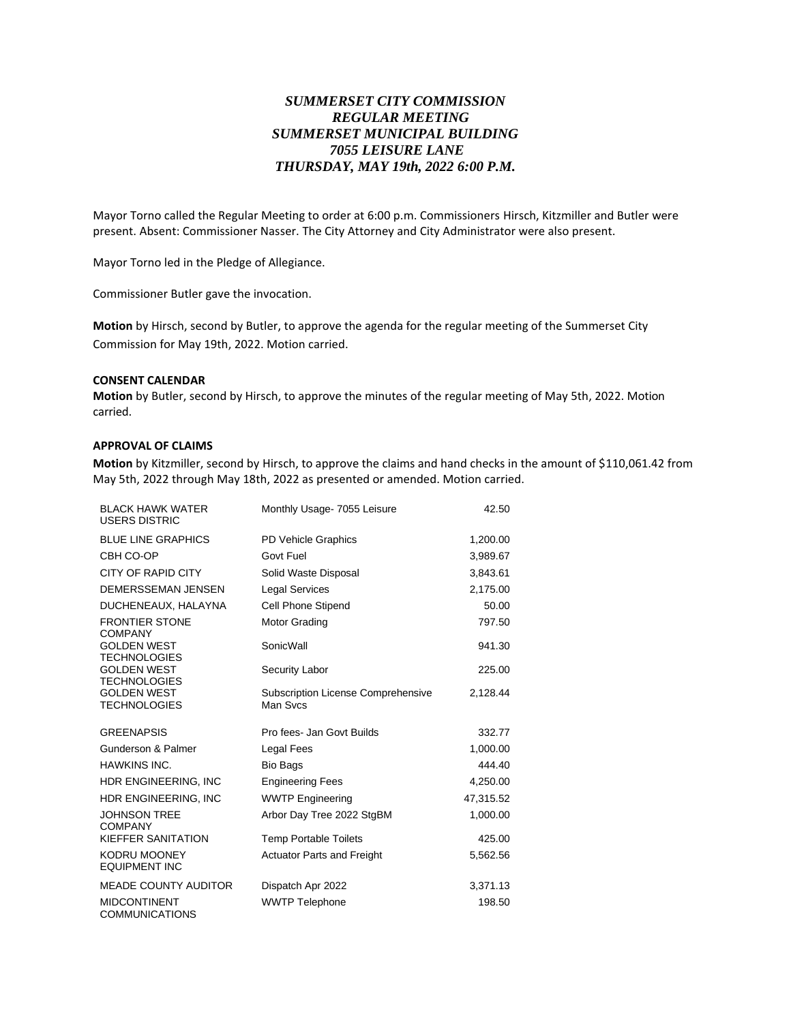# *SUMMERSET CITY COMMISSION REGULAR MEETING SUMMERSET MUNICIPAL BUILDING 7055 LEISURE LANE THURSDAY, MAY 19th, 2022 6:00 P.M.*

Mayor Torno called the Regular Meeting to order at 6:00 p.m. Commissioners Hirsch, Kitzmiller and Butler were present. Absent: Commissioner Nasser. The City Attorney and City Administrator were also present.

Mayor Torno led in the Pledge of Allegiance.

Commissioner Butler gave the invocation.

**Motion** by Hirsch, second by Butler, to approve the agenda for the regular meeting of the Summerset City Commission for May 19th, 2022. Motion carried.

#### **CONSENT CALENDAR**

**Motion** by Butler, second by Hirsch, to approve the minutes of the regular meeting of May 5th, 2022. Motion carried.

#### **APPROVAL OF CLAIMS**

**Motion** by Kitzmiller, second by Hirsch, to approve the claims and hand checks in the amount of \$110,061.42 from May 5th, 2022 through May 18th, 2022 as presented or amended. Motion carried.

| <b>BLACK HAWK WATER</b><br><b>USERS DISTRIC</b> | Monthly Usage- 7055 Leisure                    | 42.50     |
|-------------------------------------------------|------------------------------------------------|-----------|
| <b>BLUE LINE GRAPHICS</b>                       | <b>PD Vehicle Graphics</b>                     | 1,200.00  |
| CBH CO-OP                                       | Govt Fuel                                      | 3,989.67  |
| CITY OF RAPID CITY                              | Solid Waste Disposal                           | 3,843.61  |
| DEMERSSEMAN JENSEN                              | <b>Legal Services</b>                          | 2,175.00  |
| DUCHENEAUX, HALAYNA                             | Cell Phone Stipend                             | 50.00     |
| <b>FRONTIER STONE</b><br><b>COMPANY</b>         | Motor Grading                                  | 797.50    |
| <b>GOLDEN WEST</b><br><b>TECHNOLOGIES</b>       | SonicWall                                      | 941.30    |
| <b>GOLDEN WEST</b><br><b>TECHNOLOGIES</b>       | Security Labor                                 | 225.00    |
| <b>GOLDEN WEST</b><br><b>TECHNOLOGIES</b>       | Subscription License Comprehensive<br>Man Svcs | 2,128.44  |
| <b>GREENAPSIS</b>                               | Pro fees- Jan Govt Builds                      | 332.77    |
| Gunderson & Palmer                              | Legal Fees                                     | 1,000.00  |
| <b>HAWKINS INC.</b>                             | <b>Bio Bags</b>                                | 444.40    |
| HDR ENGINEERING, INC                            | <b>Engineering Fees</b>                        | 4,250.00  |
| HDR ENGINEERING, INC                            | <b>WWTP Engineering</b>                        | 47,315.52 |
| <b>JOHNSON TREE</b><br><b>COMPANY</b>           | Arbor Day Tree 2022 StgBM                      | 1,000.00  |
| KIEFFER SANITATION                              | <b>Temp Portable Toilets</b>                   | 425.00    |
| KODRU MOONEY<br><b>EQUIPMENT INC</b>            | <b>Actuator Parts and Freight</b>              | 5,562.56  |
| <b>MEADE COUNTY AUDITOR</b>                     | Dispatch Apr 2022                              | 3,371.13  |
| <b>MIDCONTINENT</b><br><b>COMMUNICATIONS</b>    | <b>WWTP Telephone</b>                          | 198.50    |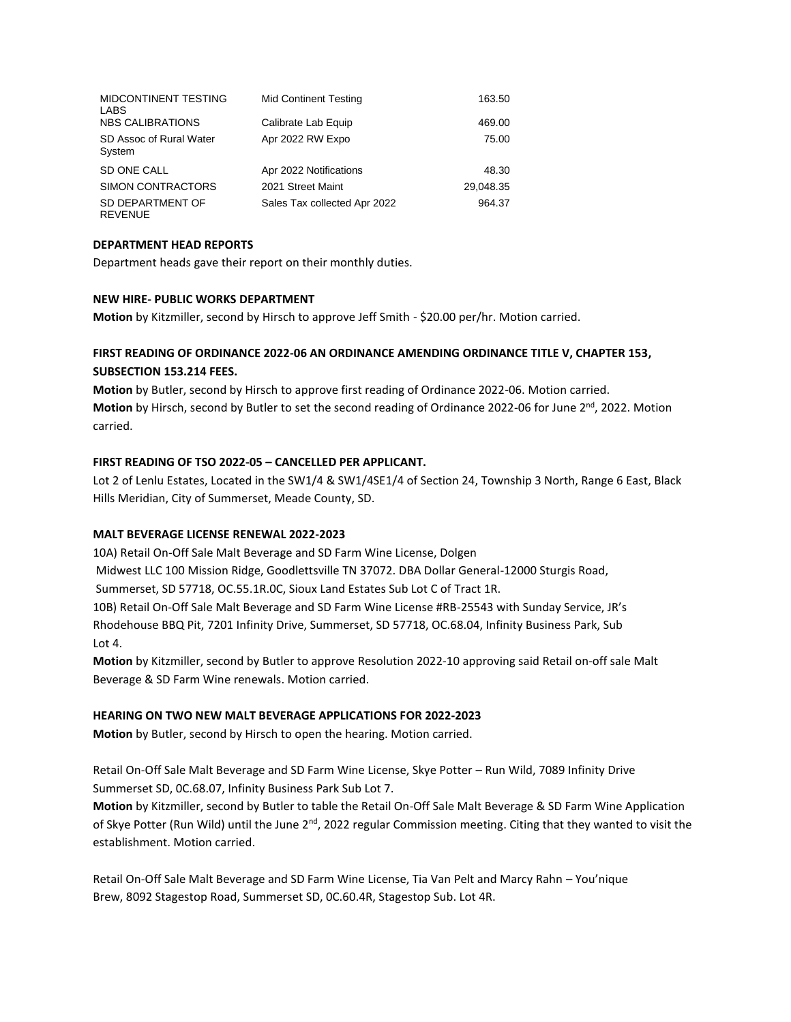| <b>MIDCONTINENT TESTING</b><br><b>LABS</b> | Mid Continent Testing        | 163.50    |
|--------------------------------------------|------------------------------|-----------|
| NBS CALIBRATIONS                           | Calibrate Lab Equip          | 469.00    |
| SD Assoc of Rural Water<br>System          | Apr 2022 RW Expo             | 75.00     |
| SD ONE CALL                                | Apr 2022 Notifications       | 48.30     |
| SIMON CONTRACTORS                          | 2021 Street Maint            | 29.048.35 |
| SD DEPARTMENT OF<br><b>REVENUE</b>         | Sales Tax collected Apr 2022 | 964.37    |

#### **DEPARTMENT HEAD REPORTS**

Department heads gave their report on their monthly duties.

#### **NEW HIRE- PUBLIC WORKS DEPARTMENT**

**Motion** by Kitzmiller, second by Hirsch to approve Jeff Smith - \$20.00 per/hr. Motion carried.

## **FIRST READING OF ORDINANCE 2022-06 AN ORDINANCE AMENDING ORDINANCE TITLE V, CHAPTER 153, SUBSECTION 153.214 FEES.**

**Motion** by Butler, second by Hirsch to approve first reading of Ordinance 2022-06. Motion carried. **Motion** by Hirsch, second by Butler to set the second reading of Ordinance 2022-06 for June 2<sup>nd</sup>, 2022. Motion carried.

## **FIRST READING OF TSO 2022-05 – CANCELLED PER APPLICANT.**

Lot 2 of Lenlu Estates, Located in the SW1/4 & SW1/4SE1/4 of Section 24, Township 3 North, Range 6 East, Black Hills Meridian, City of Summerset, Meade County, SD.

## **MALT BEVERAGE LICENSE RENEWAL 2022-2023**

10A) Retail On-Off Sale Malt Beverage and SD Farm Wine License, Dolgen Midwest LLC 100 Mission Ridge, Goodlettsville TN 37072. DBA Dollar General-12000 Sturgis Road, Summerset, SD 57718, OC.55.1R.0C, Sioux Land Estates Sub Lot C of Tract 1R. 10B) Retail On-Off Sale Malt Beverage and SD Farm Wine License #RB-25543 with Sunday Service, JR's Rhodehouse BBQ Pit, 7201 Infinity Drive, Summerset, SD 57718, OC.68.04, Infinity Business Park, Sub Lot 4.

**Motion** by Kitzmiller, second by Butler to approve Resolution 2022-10 approving said Retail on-off sale Malt Beverage & SD Farm Wine renewals. Motion carried.

### **HEARING ON TWO NEW MALT BEVERAGE APPLICATIONS FOR 2022-2023**

**Motion** by Butler, second by Hirsch to open the hearing. Motion carried.

Retail On-Off Sale Malt Beverage and SD Farm Wine License, Skye Potter – Run Wild, 7089 Infinity Drive Summerset SD, 0C.68.07, Infinity Business Park Sub Lot 7.

**Motion** by Kitzmiller, second by Butler to table the Retail On-Off Sale Malt Beverage & SD Farm Wine Application of Skye Potter (Run Wild) until the June  $2^{nd}$ , 2022 regular Commission meeting. Citing that they wanted to visit the establishment. Motion carried.

Retail On-Off Sale Malt Beverage and SD Farm Wine License, Tia Van Pelt and Marcy Rahn – You'nique Brew, 8092 Stagestop Road, Summerset SD, 0C.60.4R, Stagestop Sub. Lot 4R.